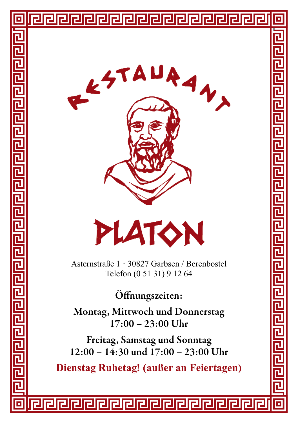





Asternstraße 1 · 30827 Garbsen / Berenbostel Telefon (0 51 31) 9 12 64

Öffnungszeiten:

Montag, Mittwoch und Donnerstag 17:00 – 23:00 Uhr

Freitag, Samstag und Sonntag 12:00 – 14:30 und 17:00 – 23:00 Uhr

**Dienstag Ruhetag! (außer an Feiertagen)**

问问问问问问问

딘

F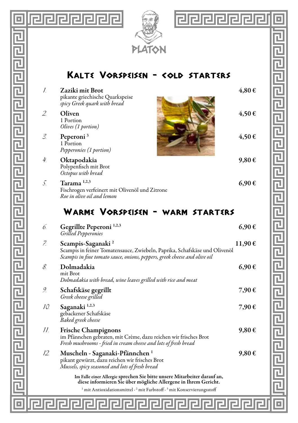

리티리리리티티 리리리리리리리리리리리리리리리리리리

IоI



# <u> elelelelelel</u> 回 الواحا واحاداه والعاما والواحا واحتاما والواحاة والواحا والواحا

叵

## Kalte Vorspeisen - cold starters

| Ī.  | Zaziki mit Brot<br>pikante griechische Quarkspeise<br>spicy Greek quark with bread                                                                                                       | 4,80€  |
|-----|------------------------------------------------------------------------------------------------------------------------------------------------------------------------------------------|--------|
| 2.  | Oliven<br>1 Portion<br>Olives (1 portion)                                                                                                                                                | 4,50€  |
| 3.  | Peperoni <sup>3</sup><br>1 Portion<br>Pepperonies (1 portion)                                                                                                                            | 4,50€  |
| 4.  | Oktapodakia<br>Polypenfisch mit Brot<br>Octopus with bread                                                                                                                               | 9,80€  |
| 5.  | Tarama <sup>1,2,3</sup><br>Fischrogen verfeinert mit Olivenöl und Zitrone<br>Roe in olive oil and lemon                                                                                  | 6,90€  |
|     | WARME VORSPEISEN - WARM STARTERS                                                                                                                                                         |        |
| 6.  | Gegrillte Peperoni <sup>1,2,3</sup><br>Grilled Pepperonies                                                                                                                               | 6,90€  |
| Z.  | Scampis-Saganaki <sup>2</sup><br>Scampis in feiner Tomatensauce, Zwiebeln, Paprika, Schafskäse und Olivenöl<br>Scampis in fine tomato sauce, onions, peppers, greek cheese and olive oil | 11,90€ |
| 8.  | Dolmadakia<br>mit Brot<br>Dolmadakia with bread, wine leaves grilled with rice and meat                                                                                                  | 6,90€  |
| 9.  | Schafskäse gegrillt<br>Greek cheese grilled                                                                                                                                              | 7,90€  |
| 10. | Saganaki <sup>1,2,3</sup><br>gebackener Schafskäse<br>Baked greek cheese                                                                                                                 | 7,90€  |
| 11. | <b>Frische Champignons</b><br>im Pfännchen gebraten, mit Crème, dazu reichen wir frisches Brot<br>Fresh mushrooms - fried in cream cheese and lots of fresh bread                        | 9,80€  |
| 12. | Muscheln - Saganaki-Pfännchen <sup>1</sup><br>pikant gewürzt, dazu reichen wir frisches Brot<br>Mussels, spicy seasoned and lots of fresh bread                                          | 9,80€  |
|     | Im Falle einer Allergie sprechen Sie bitte unsere Mitarbeiter darauf an,<br>diese informieren Sie über mögliche Allergene in Ihrem Gericht.                                              |        |
|     | $\frac{1}{2}$ mit Antioxidationsmittel $\cdot$ 2 mit Farbstoff $\cdot$ 3 mit Konservierungsstoff                                                                                         |        |
|     |                                                                                                                                                                                          |        |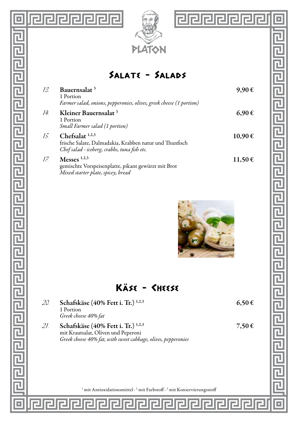

**||alalalalala** 

回

[리민리리 리미디 리미리 리미리 리미리 리미리 리리리 리리리

Œ

### Salate - Salads

| 13. | Bauernsalat <sup>3</sup><br>1 Portion<br>Farmer salad, onions, pepperonies, olives, greek cheese (1 portion)                 | 9,90€   |
|-----|------------------------------------------------------------------------------------------------------------------------------|---------|
| 14. | Kleiner Bauernsalat <sup>3</sup><br>1 Portion<br>Small Farmer salad (1 portion)                                              | 6.90€   |
| 15. | Chefsalat $1,2,3$<br>frische Salate, Dalmadakia, Krabben natur und Thunfisch<br>Chef salad - iceberg, crabbs, tuna fish etc. | 10.90€  |
| 17. | Messes $1,2,3$<br>gemischte Vorspeisenplatte, pikant gewürzt mit Brot<br>Mixed starter plate, spicey, bread                  | 11,50 € |



 $\overline{\blacksquare}$ 

# Kase - Cheese

| 20. | Schafskäse (40% Fett i. Tr.) <sup>1,2,3</sup><br>1 Portion<br>Greek cheese 40% fat                                                                    | 6,50€ |
|-----|-------------------------------------------------------------------------------------------------------------------------------------------------------|-------|
| 21. | Schafskäse (40% Fett i. Tr.) <sup>1,2,3</sup><br>mit Krautsalat, Oliven und Peperoni<br>Greek cheese 40% fat, with sweet cabbage, olives, pepperonies | 7,50€ |
|     |                                                                                                                                                       |       |
|     | <sup>1</sup> mit Antioxidationsmittel · <sup>2</sup> mit Farbstoff · <sup>3</sup> mit Konservierungsstoff                                             |       |
|     |                                                                                                                                                       |       |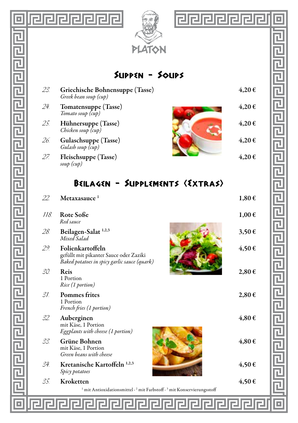

E

己

ī

己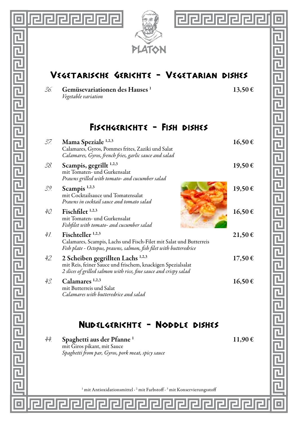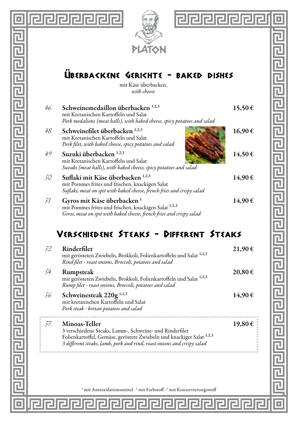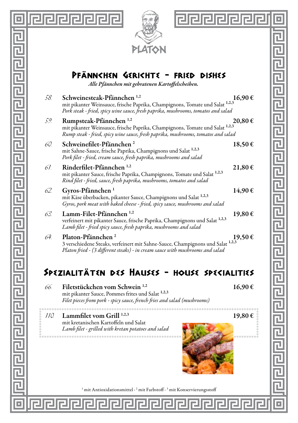

 $\overline{\mathbf{L}}$ 

리민민민민민민민민민민민민민민민민민민민민민

 $\Box$ 





己

 $\overline{\mathbf{r}}$ 

Pfannchen Gerichte - fried dishes

*Alle Pfännchen mit gebratenen Kartoffelscheiben.*

| 58. | Schweinesteak-Pfännchen <sup>1,2</sup><br>mit pikanter Weinsauce, frische Paprika, Champignons, Tomate und Salat 1,2,3<br>Pork steak - fried, spicy wine sauce, fresh paprika, mushrooms, tomatos and salad | 16,90€  |
|-----|-------------------------------------------------------------------------------------------------------------------------------------------------------------------------------------------------------------|---------|
| 59. | Rumpsteak-Pfännchen <sup>1,2</sup><br>mit pikanter Weinsauce, frische Paprika, Champignons, Tomate und Salat 1,2,3<br>Rump steak - fried, spicy wine sauce, fresh paprika, mushrooms, tomatos and salad     | 20,80 € |
| 60. | Schweinefilet-Pfännchen <sup>2</sup><br>mit Sahne-Sauce, frische Paprika, Champignons und Salat 1,2,3<br>Pork filet - fried, cream sauce, fresh paprika, mushrooms and salad                                | 18,50€  |
| 61. | Rinderfilet-Pfännchen <sup>1,2</sup><br>mit pikanter Sauce, frische Paprika, Champignons, Tomate und Salat 1,2,3<br>Rind filet - fried, sauce, fresh paprika, mushrooms, tomatos and salad                  | 21,80€  |
| 62. | Gyros-Pfännchen <sup>1</sup><br>mit Käse überbacken, pikanter Sauce, Champignons und Salat 1,2,3<br>Gyros, pork meat with baked cheese - fried, spicy sauce, mushrooms and salad                            | 14,90€  |
| 63. | Lamm-Filet-Pfännchen <sup>1,2</sup><br>verfeinert mit pikanter Sauce, frische Paprika, Champignons und Salat 1,2,3<br>Lamb filet - fried spicy sauce, fresh paprika, mushrooms and salad                    | 19,80€  |
| 64. | Platon-Pfännchen <sup>2</sup><br>3 verschiedene Steaks, verfeinert mit Sahne-Sauce, Champignons und Salat 1,2,3<br>Platon fried - (3 different steaks) - in cream sauce with mushrooms and salad            | 19,50€  |

# Spezialitaten des Hauses - house specialities

### 66 Filetstückchen vom Schwein  $^{1,2}$  16.90 € mit pikanter Sauce, Pommes frites und Salat 1,2,3 *Filet pieces from pork - spicy sauce, french fries and salad (mushrooms)*

mit kretanischen Kartoffeln und Salat *Lamb filet - grilled with kretan potatoes and salad*

 $110$ . Lammfilet vom Grill <sup>1,2,3</sup> 19,80 €



гH

<sup>1</sup> mit Antioxidationsmittel · <sup>2</sup> mit Farbstoff · <sup>3</sup> mit Konservierungsstoff

rJ.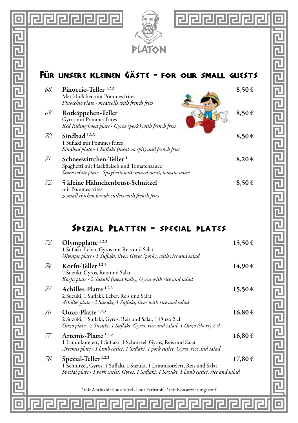

 $\overline{\mathbb{L}}$ 

리티미리리티미터 리티미리리리리리리리리리리리리리리

o





# FÜR LINSERE KLEINEN GÄSTE - FOR OUR SMALL GUESTS

| 68. | Pinoccio-Teller <sup>1,2,3</sup><br>Mettklößchen mit Pommes frites<br>Pinocchio plate - meatrolls with french fries                            | 8,50€               |
|-----|------------------------------------------------------------------------------------------------------------------------------------------------|---------------------|
| 69. | Rotkäppchen-Teller<br>Gyros mit Pommes frites<br>Red Riding hood plate - Gyros (pork) with french fries                                        | $8,50 \in$          |
| 70. | Sindbad $1,2,3$<br>1 Suflaki mit Pommes frites<br>Sindbad plate - 1 Suflaki (meat on spit) and french fries                                    | $8.50 \in$          |
| 71. | Schneewittchen-Teller <sup>1</sup><br>Spaghetti mit Hackfleisch und Tomatensauce<br>Snow white plate - Spaghetti with mixed meat, tomato sauce | $8.20 \text{ } \in$ |
| 72. | 5 kleine Hähnchenbrust-Schnitzel<br>mit Pommes frites<br>5 small chicken breads cutlets with french fries                                      | 8,50€               |

# Spezial Platten - special plates

| 73. | Olympplatte $1,2,3$<br>1 Suflaki, Leber, Gyros mit Reis und Salat<br>Olympic plate - I Suflaki, liver, Gyros (pork), with rice and salad                                                               | 15,50€ |
|-----|--------------------------------------------------------------------------------------------------------------------------------------------------------------------------------------------------------|--------|
| 74. | Korfu-Teller <sup>1,2,3</sup><br>2 Suzuki, Gyros, Reis und Salat<br>Korfu plate - 2 Suzuki (meat balls), Gyros with rice and salad                                                                     | 14,90€ |
| 75. | Achilles-Platte <sup>1,2,3</sup><br>2 Suzuki, 1 Suflaki, Leber, Reis und Salat<br>Achilles plate - 2 Suzuki, 1 Suflaki, liver with rice and salad                                                      | 15,50€ |
| 76. | $Quzo-Platte$ <sup>1,2,3</sup><br>2 Suzuki, 1 Suflaki, Gyros, Reis und Salat, 1 Ouzo 2 cl<br>Ouzo plate - 2 Suzuki, 1 Suflaki, Gyros, rice and salad, 1 Ouzo (short) 2 cl                              | 16,80€ |
| 77. | Artemis-Platte <sup>1,2,3</sup><br>1 Lammkotelett, 1 Suflaki, 1 Schnitzel, Gyros, Reis und Salat<br>Artemis plate - 1 lamb cutlet, 1 Suflaki, 1 pork cutlet, Gyros, rice and salad                     | 16.80€ |
| 78. | Spezial-Teller <sup>1,2,3</sup><br>1 Schnitzel, Gyros, 1 Suflaki, 1 Suzuki, 1 Lammkotelett, Reis und Salat<br>Special plate - 1 pork cutlet, Gyros, 1 Suflaki, 1 Suzuki, 1 lamb cutlet, rice and salad | 17,80€ |
|     | <sup>1</sup> mit Antioxidationsmittel · <sup>2</sup> mit Farbstoff · <sup>3</sup> mit Konservierungsstoff                                                                                              |        |

<u>Indelendelendelendelen</u>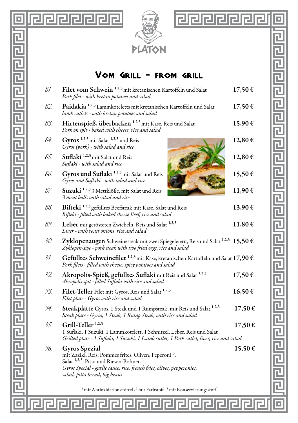

 $\overline{\mathbb{L}}$ 

린민민민민민민민민민민민민민민민민민민민민민

lo



리더리 리디 리더 리디 리디 리디 리디 리디 리디 리디 리디리

=

 $\overline{\blacksquare}$ 

### Vom Grill - from grill

| 81. | Filet vom Schwein <sup>1,2,3</sup> mit kretanischen Kartoffeln und Salat<br>Pork filet - with kretan potatoes and salad                                                                                                                                                                                                                                          |             |
|-----|------------------------------------------------------------------------------------------------------------------------------------------------------------------------------------------------------------------------------------------------------------------------------------------------------------------------------------------------------------------|-------------|
| 82. | Paidakia 1,2,3 Lammkoteletts mit kretanischen Kartoffeln und Salat<br>lamb cutlets - with kretan potatoes and salad                                                                                                                                                                                                                                              |             |
| 83. | Hirtenspieß, überbacken 1,2,3 mit Käse, Reis und Salat<br>Pork on spit - baked with cheese, rice and salad                                                                                                                                                                                                                                                       | 15,90€      |
| 84. | Gyros <sup>1,2,3</sup> mit Salat <sup>1,2,3</sup> und Reis<br>Gyros (pork) - with salad and rice                                                                                                                                                                                                                                                                 | 12,80 €     |
| 85. | Suflaki 1,2,3 mit Salat und Reis<br>Suflaki - with salad and rice                                                                                                                                                                                                                                                                                                | 12,80 €     |
| 86. | Gyros und Suflaki <sup>1,2,3</sup> mit Salat und Reis<br>Gyros and Suflaki - with salad and rice                                                                                                                                                                                                                                                                 | 15,50€      |
| 87. | Suzuki 1,2,3 3 Mettklöße, mit Salat und Reis<br>3 meat balls with salad and rice                                                                                                                                                                                                                                                                                 | 11,90€      |
| 88. | Bifteki <sup>1,2,3</sup> gefülltes Beefsteak mit Käse, Salat und Reis<br>Bifteki - filled with baked cheese Beef, rice and salad                                                                                                                                                                                                                                 |             |
| 89. | Leber mit gerösteten Zwiebeln, Reis und Salat 1,2,3<br>Liver - with roast onions, rice and salad                                                                                                                                                                                                                                                                 |             |
| 90. | Zyklopenaugen Schweinesteak mit zwei Spiegeleiern, Reis und Salat 1,2,3 15,50 €<br>Zyklopen-Eye - pork steak with two fried eggs, rice and salad                                                                                                                                                                                                                 |             |
| 91. | Gefülltes Schweinefilet 1,2,3 mit Käse, kretanischen Kartoffeln und Salat 17,90 €<br>Pork filets - filled with cheese, spicy potatoes and salad                                                                                                                                                                                                                  |             |
| 92. | Akropolis-Spieß, gefülltes Suflaki mit Reis und Salat 1,2,3<br>Akropolis spit - filled Suflaki with rice and salad                                                                                                                                                                                                                                               |             |
| 93. | Filet-Teller Filet mit Gyros, Reis und Salat 1,2,3<br>Filet plate - Gyros with rice and salad                                                                                                                                                                                                                                                                    |             |
| 94. | Steakplatte Gyros, 1 Steak und 1 Rumpsteak, mit Reis und Salat <sup>1,2,3</sup><br>Steak plate - Gyros, 1 Steak, 1 Rump Steak, with rice and salad                                                                                                                                                                                                               |             |
| 95. | Grill-Teller <sup>1,2,3</sup><br>$17,50 \in$<br>1 Suflaki, 1 Suzuki, 1 Lammkotelett, 1 Schnitzel, Leber, Reis und Salat                                                                                                                                                                                                                                          |             |
| 96. | Grilled plate - 1 Suflaki, 1 Suzuki, 1 Lamb cutlet, 1 Pork cutlet, liver, rice and salad<br><b>Gyros Spezial</b><br>mit Zaziki, Reis, Pommes frites, Oliven, Peperoni <sup>3</sup> ,<br>Salat <sup>1,2,3</sup> , Pitta und Riesen-Bohnen <sup>1</sup><br>Gyros Special - garlic sauce, rice, french fries, olives, pepperonies,<br>salad, pitta bread, big beans | $15,50 \in$ |
|     | <sup>1</sup> mit Antioxidationsmittel · <sup>2</sup> mit Farbstoff · <sup>3</sup> mit Konservierungsstoff                                                                                                                                                                                                                                                        |             |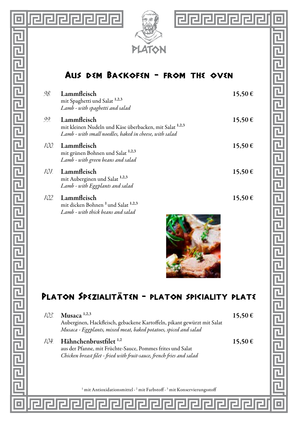





### Aus dem Backofen - from the oven

| 98.  | Lammfleisch<br>mit Spaghetti und Salat <sup>1,2,3</sup><br>Lamb - with spaghetti and salad                                       | 15,50 € |
|------|----------------------------------------------------------------------------------------------------------------------------------|---------|
| 99   | Lammfleisch<br>mit kleinen Nudeln und Käse überbacken, mit Salat 1,2,3<br>Lamb - with small noedles, baked in cheese, with salad | 15,50 € |
| 100. | Lammfleisch<br>mit grünen Bohnen und Salat 1,2,3<br>Lamb - with green beans and salad                                            | 15.50€  |
| 101- | Lammfleisch<br>mit Auberginen und Salat <sup>1,2,3</sup><br>Lamb - with Eggplants and salad                                      | 15.50€  |
| 102. | Lammfleisch<br>mit dicken Bohnen <sup>1</sup> und Salat <sup>1,2,3</sup><br>Lamb - with thick beans and salad                    | 15.50€  |



eeeee

Б

已

린

# PLATON SPEZIALITÄTEN - PLATON SPICIALITY PLATE

| 103 | Musaca $1,2,3$<br>Auberginen, Hackfleisch, gebackene Kartoffeln, pikant gewürzt mit Salat<br>Musaca - Eggplants, mixed meat, baked potatoes, spiced and salad            | 15.50€ |
|-----|--------------------------------------------------------------------------------------------------------------------------------------------------------------------------|--------|
| 104 | Hähnchenbrustfilet <sup>1,2</sup><br>aus der Pfanne, mit Früchte-Sauce, Pommes frites und Salat<br>Chicken breast filet - fried with fruit-sauce, french fries and salad | 15.50€ |
|     | mit Antioxidationsmittel · <sup>2</sup> mit Farbstoff · <sup>3</sup> mit Konservierungsstoff                                                                             |        |

同同